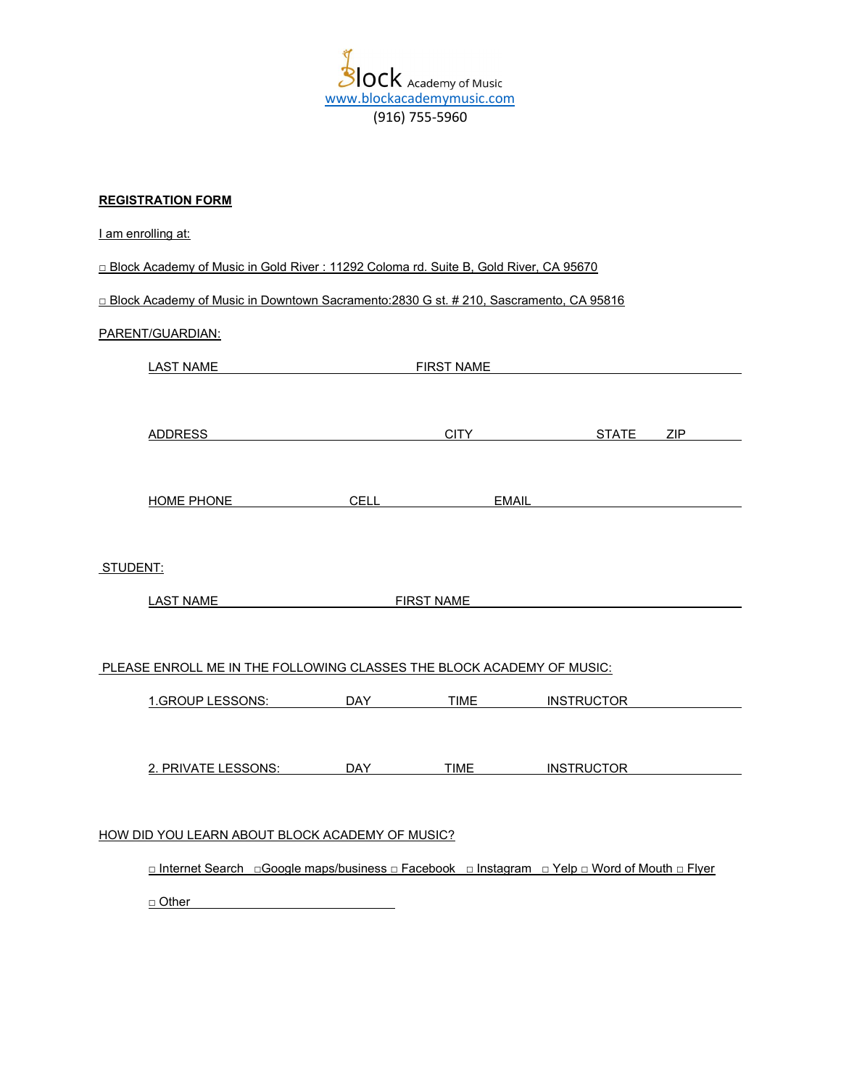Ÿ Slock<br>www.blockacademymusic.com (916) 755-5960

## REGISTRATION FORM

|                                                                                               | I am enrolling at:      |            |                   |                   |  |  |  |
|-----------------------------------------------------------------------------------------------|-------------------------|------------|-------------------|-------------------|--|--|--|
| □ Block Academy of Music in Gold River : 11292 Coloma rd. Suite B, Gold River, CA 95670       |                         |            |                   |                   |  |  |  |
| □ Block Academy of Music in Downtown Sacramento: 2830 G st. # 210, Sascramento, CA 95816      |                         |            |                   |                   |  |  |  |
|                                                                                               | PARENT/GUARDIAN:        |            |                   |                   |  |  |  |
|                                                                                               | <b>LAST NAME</b>        |            | <b>EIRST NAME</b> |                   |  |  |  |
|                                                                                               |                         |            |                   |                   |  |  |  |
|                                                                                               | <b>ADDRESS</b>          |            |                   | CITY STATE ZIP    |  |  |  |
|                                                                                               |                         |            |                   |                   |  |  |  |
|                                                                                               | <b>HOME PHONE</b>       |            | CELL EMAIL        |                   |  |  |  |
|                                                                                               |                         |            |                   |                   |  |  |  |
| STUDENT:                                                                                      |                         |            |                   |                   |  |  |  |
|                                                                                               | <u>LAST NAME</u>        |            | <b>FIRST NAME</b> |                   |  |  |  |
|                                                                                               |                         |            |                   |                   |  |  |  |
| PLEASE ENROLL ME IN THE FOLLOWING CLASSES THE BLOCK ACADEMY OF MUSIC:                         |                         |            |                   |                   |  |  |  |
|                                                                                               | 1.GROUP LESSONS:        | <b>DAY</b> | <b>TIME</b>       | <b>INSTRUCTOR</b> |  |  |  |
|                                                                                               |                         |            |                   |                   |  |  |  |
|                                                                                               | 2. PRIVATE LESSONS: DAY |            |                   | TIME INSTRUCTOR   |  |  |  |
|                                                                                               |                         |            |                   |                   |  |  |  |
| HOW DID YOU LEARN ABOUT BLOCK ACADEMY OF MUSIC?                                               |                         |            |                   |                   |  |  |  |
| □ Internet Search □Google maps/business □ Facebook □ Instagram □ Yelp □ Word of Mouth □ Flyer |                         |            |                   |                   |  |  |  |
|                                                                                               | $\Box$ Other            |            |                   |                   |  |  |  |